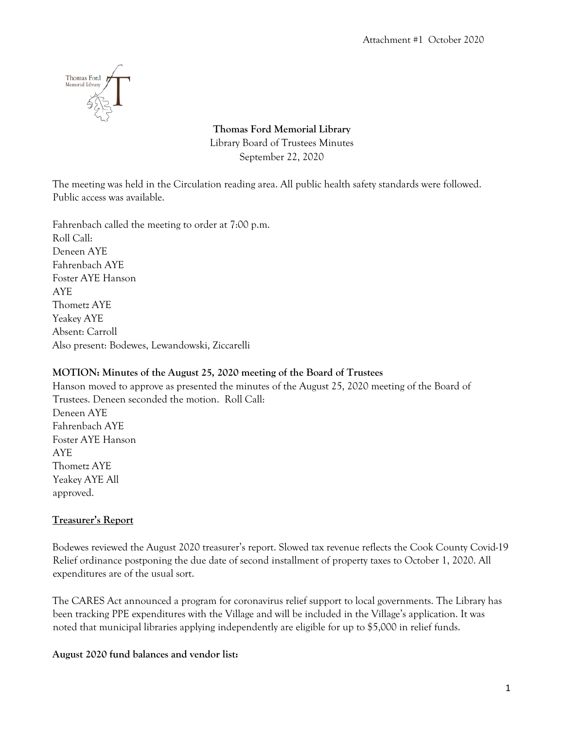

**Thomas Ford Memorial Library**  Library Board of Trustees Minutes September 22, 2020

The meeting was held in the Circulation reading area. All public health safety standards were followed. Public access was available.

Fahrenbach called the meeting to order at 7:00 p.m. Roll Call: Deneen AYE Fahrenbach AYE Foster AYE Hanson AYE Thometz AYE Yeakey AYE Absent: Carroll Also present: Bodewes, Lewandowski, Ziccarelli

## **MOTION: Minutes of the August 25, 2020 meeting of the Board of Trustees**

Hanson moved to approve as presented the minutes of the August 25, 2020 meeting of the Board of Trustees. Deneen seconded the motion. Roll Call: Deneen AYE Fahrenbach AYE Foster AYE Hanson AYE Thometz AYE Yeakey AYE All approved.

## **Treasurer's Report**

Bodewes reviewed the August 2020 treasurer's report. Slowed tax revenue reflects the Cook County Covid-19 Relief ordinance postponing the due date of second installment of property taxes to October 1, 2020. All expenditures are of the usual sort.

The CARES Act announced a program for coronavirus relief support to local governments. The Library has been tracking PPE expenditures with the Village and will be included in the Village's application. It was noted that municipal libraries applying independently are eligible for up to \$5,000 in relief funds.

## **August 2020 fund balances and vendor list:**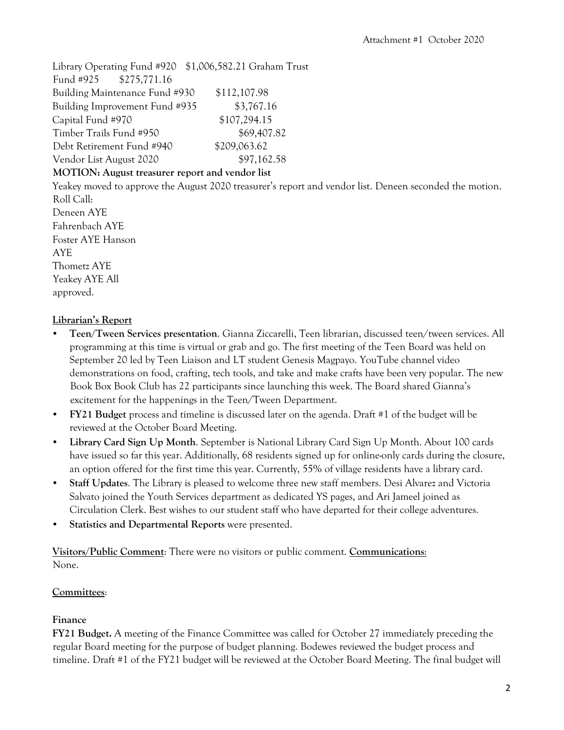Library Operating Fund #920 \$1,006,582.21 Graham Trust Fund #925 \$275,771.16 Building Maintenance Fund #930 \$112,107.98 Building Improvement Fund #935 \$3,767.16 Capital Fund #970 \$107,294.15 Timber Trails Fund #950 \$69,407.82 Debt Retirement Fund #940 \$209,063.62 Vendor List August 2020 \$97,162.58 **MOTION: August treasurer report and vendor list**

Yeakey moved to approve the August 2020 treasurer's report and vendor list. Deneen seconded the motion. Roll Call: Deneen AYE

Fahrenbach AYE Foster AYE Hanson AYE Thometz AYE Yeakey AYE All approved.

# **Librarian's Report**

- **Teen/Tween Services presentation**. Gianna Ziccarelli, Teen librarian, discussed teen/tween services. All programming at this time is virtual or grab and go. The first meeting of the Teen Board was held on September 20 led by Teen Liaison and LT student Genesis Magpayo. YouTube channel video demonstrations on food, crafting, tech tools, and take and make crafts have been very popular. The new Book Box Book Club has 22 participants since launching this week. The Board shared Gianna's excitement for the happenings in the Teen/Tween Department.
- **FY21 Budget** process and timeline is discussed later on the agenda. Draft #1 of the budget will be reviewed at the October Board Meeting.
- **Library Card Sign Up Month**. September is National Library Card Sign Up Month. About 100 cards have issued so far this year. Additionally, 68 residents signed up for online-only cards during the closure, an option offered for the first time this year. Currently, 55% of village residents have a library card.
- **Staff Updates**. The Library is pleased to welcome three new staff members. Desi Alvarez and Victoria Salvato joined the Youth Services department as dedicated YS pages, and Ari Jameel joined as Circulation Clerk. Best wishes to our student staff who have departed for their college adventures.
- **Statistics and Departmental Reports** were presented.

**Visitors/Public Comment**: There were no visitors or public comment. **Communications**: None.

# **Committees**:

# **Finance**

**FY21 Budget.** A meeting of the Finance Committee was called for October 27 immediately preceding the regular Board meeting for the purpose of budget planning. Bodewes reviewed the budget process and timeline. Draft #1 of the FY21 budget will be reviewed at the October Board Meeting. The final budget will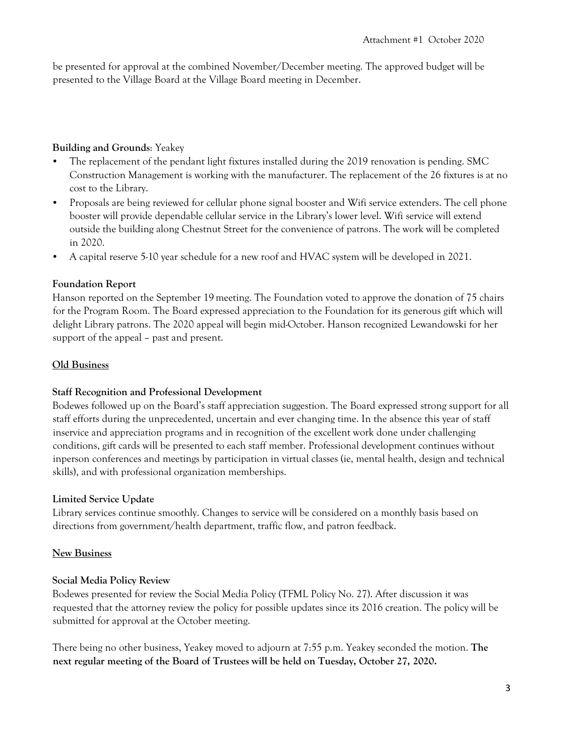be presented for approval at the combined November/December meeting. The approved budget will be presented to the Village Board at the Village Board meeting in December.

## **Building and Grounds**: Yeakey

- The replacement of the pendant light fixtures installed during the 2019 renovation is pending. SMC Construction Management is working with the manufacturer. The replacement of the 26 fixtures is at no cost to the Library.
- Proposals are being reviewed for cellular phone signal booster and Wifi service extenders. The cell phone booster will provide dependable cellular service in the Library's lower level. Wifi service will extend outside the building along Chestnut Street for the convenience of patrons. The work will be completed in 2020.
- A capital reserve 5-10 year schedule for a new roof and HVAC system will be developed in 2021.

## **Foundation Report**

Hanson reported on the September 19meeting. The Foundation voted to approve the donation of 75 chairs for the Program Room. The Board expressed appreciation to the Foundation for its generous gift which will delight Library patrons. The 2020 appeal will begin mid-October. Hanson recognized Lewandowski for her support of the appeal – past and present.

### **Old Business**

### **Staff Recognition and Professional Development**

Bodewes followed up on the Board's staff appreciation suggestion. The Board expressed strong support for all staff efforts during the unprecedented, uncertain and ever changing time. In the absence this year of staff inservice and appreciation programs and in recognition of the excellent work done under challenging conditions, gift cards will be presented to each staff member. Professional development continues without inperson conferences and meetings by participation in virtual classes (ie, mental health, design and technical skills), and with professional organization memberships.

### **Limited Service Update**

Library services continue smoothly. Changes to service will be considered on a monthly basis based on directions from government/health department, traffic flow, and patron feedback.

### **New Business**

### **Social Media Policy Review**

Bodewes presented for review the Social Media Policy (TFML Policy No. 27). After discussion it was requested that the attorney review the policy for possible updates since its 2016 creation. The policy will be submitted for approval at the October meeting.

There being no other business, Yeakey moved to adjourn at 7:55 p.m. Yeakey seconded the motion. **The next regular meeting of the Board of Trustees will be held on Tuesday, October 27, 2020.**